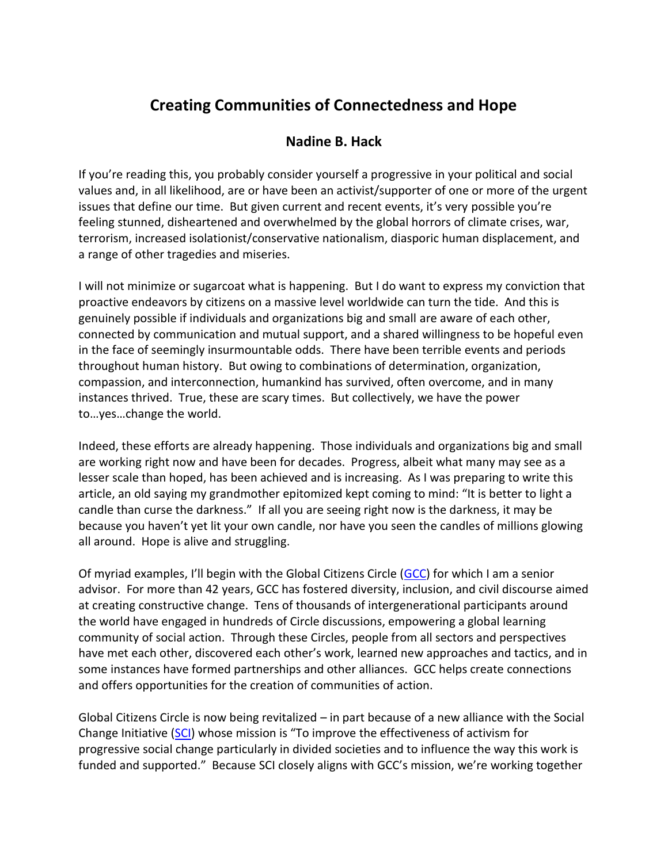## **Creating Communities of Connectedness and Hope**

## **Nadine B. Hack**

If you're reading this, you probably consider yourself a progressive in your political and social values and, in all likelihood, are or have been an activist/supporter of one or more of the urgent issues that define our time. But given current and recent events, it's very possible you're feeling stunned, disheartened and overwhelmed by the global horrors of climate crises, war, terrorism, increased isolationist/conservative nationalism, diasporic human displacement, and a range of other tragedies and miseries.

I will not minimize or sugarcoat what is happening. But I do want to express my conviction that proactive endeavors by citizens on a massive level worldwide can turn the tide. And this is genuinely possible if individuals and organizations big and small are aware of each other, connected by communication and mutual support, and a shared willingness to be hopeful even in the face of seemingly insurmountable odds. There have been terrible events and periods throughout human history. But owing to combinations of determination, organization, compassion, and interconnection, humankind has survived, often overcome, and in many instances thrived. True, these are scary times. But collectively, we have the power to…yes…change the world.

Indeed, these efforts are already happening. Those individuals and organizations big and small are working right now and have been for decades. Progress, albeit what many may see as a lesser scale than hoped, has been achieved and is increasing. As I was preparing to write this article, an old saying my grandmother epitomized kept coming to mind: "It is better to light a candle than curse the darkness." If all you are seeing right now is the darkness, it may be because you haven't yet lit your own candle, nor have you seen the candles of millions glowing all around. Hope is alive and struggling.

Of myriad examples, I'll begin with the Global Citizens Circle ([GCC\)](http://gcccomingsoon.org/) for which I am a senior advisor. For more than 42 years, GCC has fostered diversity, inclusion, and civil discourse aimed at creating constructive change. Tens of thousands of intergenerational participants around the world have engaged in hundreds of Circle discussions, empowering a global learning community of social action. Through these Circles, people from all sectors and perspectives have met each other, discovered each other's work, learned new approaches and tactics, and in some instances have formed partnerships and other alliances. GCC helps create connections and offers opportunities for the creation of communities of action.

Global Citizens Circle is now being revitalized – in part because of a new alliance with the Social Change Initiative [\(SCI\)](http://www.thesocialchangeinitiative.org/) whose mission is "To improve the effectiveness of activism for progressive social change particularly in divided societies and to influence the way this work is funded and supported." Because SCI closely aligns with GCC's mission, we're working together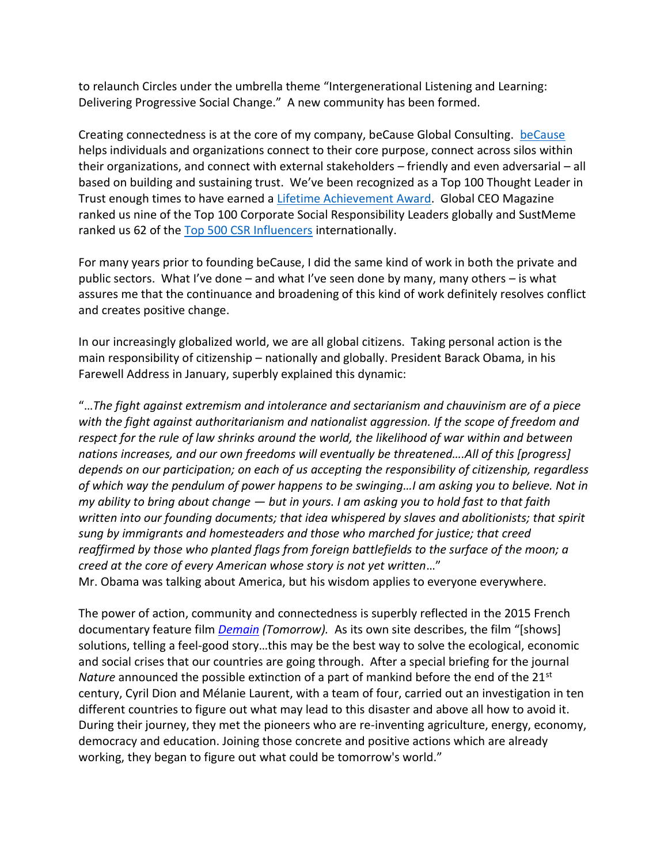to relaunch Circles under the umbrella theme "Intergenerational Listening and Learning: Delivering Progressive Social Change." A new community has been formed.

Creating connectedness is at the core of my company, beCause Global Consulting. [beCause](http://www.because.net/) helps individuals and organizations connect to their core purpose, connect across silos within their organizations, and connect with external stakeholders – friendly and even adversarial – all based on building and sustaining trust. We've been recognized as a Top 100 Thought Leader in Trust enough times to have earned a [Lifetime Achievement Award.](http://www.trustacrossamerica.com/offerings-thought-leaders-2016.shtml) Global CEO Magazine ranked us nine of the Top 100 Corporate Social Responsibility Leaders globally and SustMeme ranked us 62 of the [Top 500 CSR Influencers](https://www.rise.global/csr-business) internationally.

For many years prior to founding beCause, I did the same kind of work in both the private and public sectors. What I've done – and what I've seen done by many, many others – is what assures me that the continuance and broadening of this kind of work definitely resolves conflict and creates positive change.

In our increasingly globalized world, we are all global citizens. Taking personal action is the main responsibility of citizenship – nationally and globally. President Barack Obama, in his Farewell Address in January, superbly explained this dynamic:

"…*The fight against extremism and intolerance and sectarianism and chauvinism are of a piece with the fight against authoritarianism and nationalist aggression. If the scope of freedom and respect for the rule of law shrinks around the world, the likelihood of war within and between nations increases, and our own freedoms will eventually be threatened….All of this [progress] depends on our participation; on each of us accepting the responsibility of citizenship, regardless of which way the pendulum of power happens to be swinging…I am asking you to believe. Not in my ability to bring about change — but in yours. I am asking you to hold fast to that faith written into our founding documents; that idea whispered by slaves and abolitionists; that spirit sung by immigrants and homesteaders and those who marched for justice; that creed reaffirmed by those who planted flags from foreign battlefields to the surface of the moon; a creed at the core of every American whose story is not yet written*…" Mr. Obama was talking about America, but his wisdom applies to everyone everywhere.

The power of action, community and connectedness is superbly reflected in the 2015 French documentary feature film *[Demain](https://www.demain-lefilm.com/en/film) (Tomorrow).* As its own site describes, the film "[shows] solutions, telling a feel-good story…this may be the best way to solve the ecological, economic and social crises that our countries are going through. After a special briefing for the journal *Nature* announced the possible extinction of a part of mankind before the end of the 21<sup>st</sup> century, Cyril Dion and Mélanie Laurent, with a team of four, carried out an investigation in ten different countries to figure out what may lead to this disaster and above all how to avoid it. During their journey, they met the pioneers who are re-inventing agriculture, energy, economy, democracy and education. Joining those concrete and positive actions which are already working, they began to figure out what could be tomorrow's world."